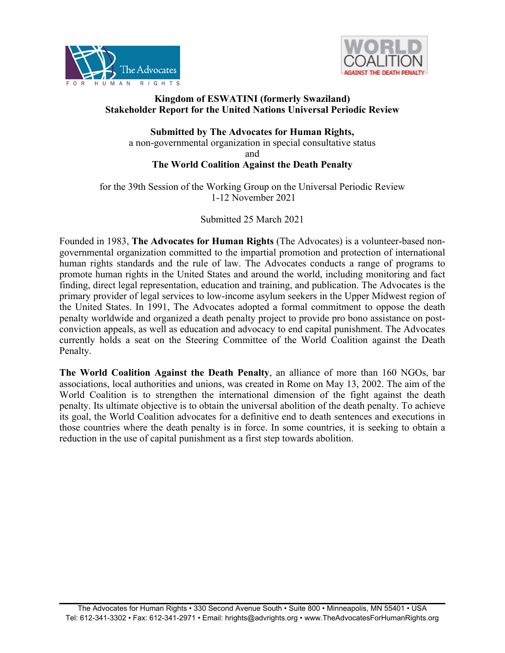



# **Kingdom of ESWATINI (formerly Swaziland) Stakeholder Report for the United Nations Universal Periodic Review**

**Submitted by The Advocates for Human Rights,** <sup>a</sup> non-governmental organization in special consultative status and

# **The World Coalition Against the Death Penalty**

for the 39th Session of the Working Group on the Universal Periodic Review 1-12 November 2021

Submitted 25 March 2021

Founded in 1983, **The Advocates for Human Rights** (The Advocates) is <sup>a</sup> volunteer-based nongovernmental organization committed to the impartial promotion and protection of international human rights standards and the rule of law. The Advocates conducts <sup>a</sup> range of programs to promote human rights in the United States and around the world, including monitoring and fact finding, direct legal representation, education and training, and publication. The Advocates is the primary provider of legal services to low-income asylum seekers in the Upper Midwest region of the United States. In 1991, The Advocates adopted <sup>a</sup> formal commitment to oppose the death penalty worldwide and organized <sup>a</sup> death penalty project to provide pro bono assistance on postconviction appeals, as well as education and advocacy to end capital punishment. The Advocates currently holds <sup>a</sup> seat on the Steering Committee of the World Coalition against the Death Penalty.

**The World Coalition Against the Death Penalty**, an alliance of more than 160 NGOs, bar associations, local authorities and unions, was created in Rome on May 13, 2002. The aim of the World Coalition is to strengthen the international dimension of the fight against the death penalty. Its ultimate objective is to obtain the universal abolition of the death penalty. To achieve its goal, the World Coalition advocates for <sup>a</sup> definitive end to death sentences and executions in those countries where the death penalty is in force. In some countries, it is seeking to obtain <sup>a</sup> reduction in the use of capital punishment as <sup>a</sup> first step towards abolition.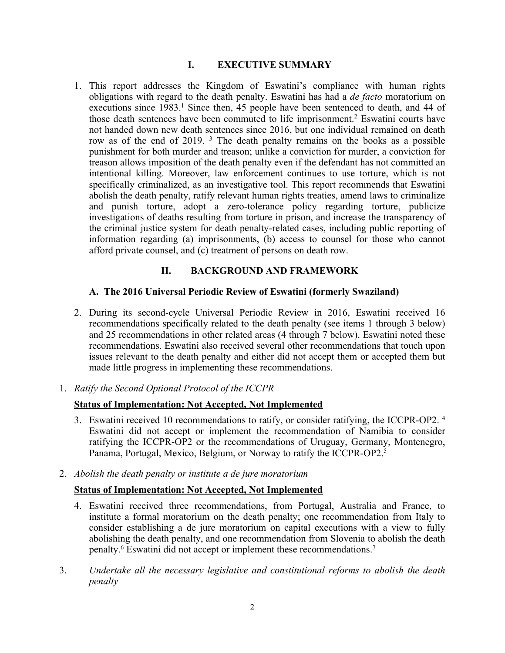# **I. EXECUTIVE SUMMARY**

1. This repor<sup>t</sup> addresses the Kingdom of Eswatini'<sup>s</sup> compliance with human rights obligations with regard to the death penalty. Eswatini has had <sup>a</sup> *de facto* moratorium on executions since 1983. 1 Since then, 45 people have been sentenced to death, and 44 of those death sentences have been commuted to life imprisonment. 2 Eswatini courts have not handed down new death sentences since 2016, but one individual remained on death row as of the end of 2019.<sup>3</sup> The death penalty remains on the books as a possible punishment for both murder and treason; unlike <sup>a</sup> conviction for murder, <sup>a</sup> conviction for treason allows imposition of the death penalty even if the defendant has not committed an intentional killing. Moreover, law enforcement continues to use torture, which is not specifically criminalized, as an investigative tool. This repor<sup>t</sup> recommends that Eswatini abolish the death penalty, ratify relevant human rights treaties, amend laws to criminalize and punish torture, adopt <sup>a</sup> zero-tolerance policy regarding torture, publicize investigations of deaths resulting from torture in prison, and increase the transparency of the criminal justice system for death penalty-related cases, including public reporting of information regarding (a) imprisonments, (b) access to counsel for those who cannot afford private counsel, and (c) treatment of persons on death row.

# **II. BACKGROUND AND FRAMEWORK**

# **A. The 2016 Universal Periodic Review of Eswatini (formerly Swaziland)**

- 2. During its second-cycle Universal Periodic Review in 2016, Eswatini received 16 recommendations specifically related to the death penalty (see items 1 through 3 below) and 25 recommendations in other related areas (4 through 7 below). Eswatini noted these recommendations. Eswatini also received several other recommendations that touch upon issues relevant to the death penalty and either did not accep<sup>t</sup> them or accepted them but made little progress in implementing these recommendations.
- 1. *Ratify the Second Optional Protocol of the ICCPR*

# **Status of Implementation: Not Accepted, Not Implemented**

- 3. Eswatini received 10 recommendations to ratify, or consider ratifying, the ICCPR-OP2. 4 Eswatini did not accep<sup>t</sup> or implement the recommendation of Namibia to consider ratifying the ICCPR-OP2 or the recommendations of Uruguay, Germany, Montenegro, Panama, Portugal, Mexico, Belgium, or Norway to ratify the ICCPR-OP2. 5
- 2. *Abolish the death penalty or institute <sup>a</sup> de jure moratorium*

# **Status of Implementation: Not Accepted, Not Implemented**

- 4. Eswatini received three recommendations, from Portugal, Australia and France, to institute <sup>a</sup> formal moratorium on the death penalty; one recommendation from Italy to consider establishing <sup>a</sup> de jure moratorium on capital executions with <sup>a</sup> view to fully abolishing the death penalty, and one recommendation from Slovenia to abolish the death penalty. 6 Eswatini did not accep<sup>t</sup> or implement these recommendations. 7
- 3. *Undertake all the necessary legislative and constitutional reforms to abolish the death penalty*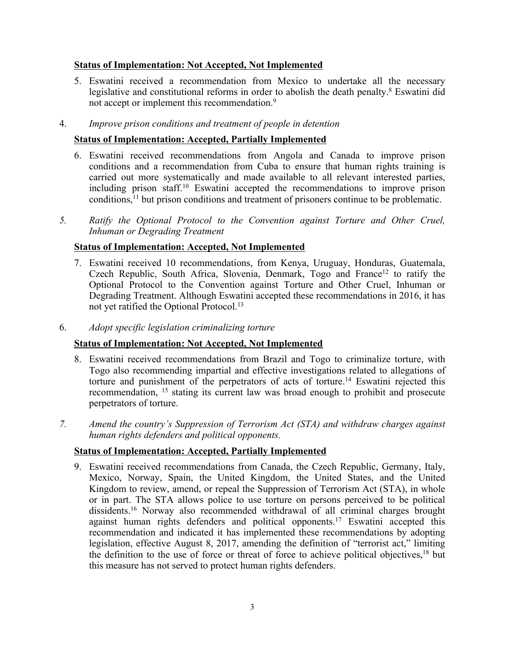# **Status of Implementation: Not Accepted, Not Implemented**

5. Eswatini received <sup>a</sup> recommendation from Mexico to undertake all the necessary legislative and constitutional reforms in order to abolish the death penalty. 8 Eswatini did not accept or implement this recommendation.<sup>9</sup>

### 4. *Improve prison conditions and treatment of people in detention*

### **Status of Implementation: Accepted, Partially Implemented**

- 6. Eswatini received recommendations from Angola and Canada to improve prison conditions and <sup>a</sup> recommendation from Cuba to ensure that human rights training is carried out more systematically and made available to all relevant interested parties, including prison staff. 10 Eswatini accepted the recommendations to improve prison conditions, 11 but prison conditions and treatment of prisoners continue to be problematic.
- *5. Ratify the Optional Protocol to the Convention against Torture and Other Cruel, Inhuman or Degrading Treatment*

### **Status of Implementation: Accepted, Not Implemented**

- 7. Eswatini received 10 recommendations, from Kenya, Uruguay, Honduras, Guatemala, Czech Republic, South Africa, Slovenia, Denmark, Togo and France<sup>12</sup> to ratify the Optional Protocol to the Convention against Torture and Other Cruel, Inhuman or Degrading Treatment. Although Eswatini accepted these recommendations in 2016, it has not ye<sup>t</sup> ratified the Optional Protocol. 13
- 6. *Adopt specific legislation criminalizing torture*

#### **Status of Implementation: Not Accepted, Not Implemented**

- 8. Eswatini received recommendations from Brazil and Togo to criminalize torture, with Togo also recommending impartial and effective investigations related to allegations of torture and punishment of the perpetrators of acts of torture.<sup>14</sup> Eswatini rejected this recommendation, 15 stating its current law was broad enough to prohibit and prosecute perpetrators of torture.
- *7. Amend the country'<sup>s</sup> Suppression of Terrorism Act (STA) and withdraw charges against human rights defenders and political opponents.*

#### **Status of Implementation: Accepted, Partially Implemented**

9. Eswatini received recommendations from Canada, the Czech Republic, Germany, Italy, Mexico, Norway, Spain, the United Kingdom, the United States, and the United Kingdom to review, amend, or repeal the Suppression of Terrorism Act (STA), in whole or in part. The STA allows police to use torture on persons perceived to be political dissidents. <sup>16</sup> Norway also recommended withdrawal of all criminal charges brought against human rights defenders and political opponents. 17 Eswatini accepted this recommendation and indicated it has implemented these recommendations by adopting legislation, effective August 8, 2017, amending the definition of "terrorist act," limiting the definition to the use of force or threat of force to achieve political objectives,<sup>18</sup> but this measure has not served to protect human rights defenders.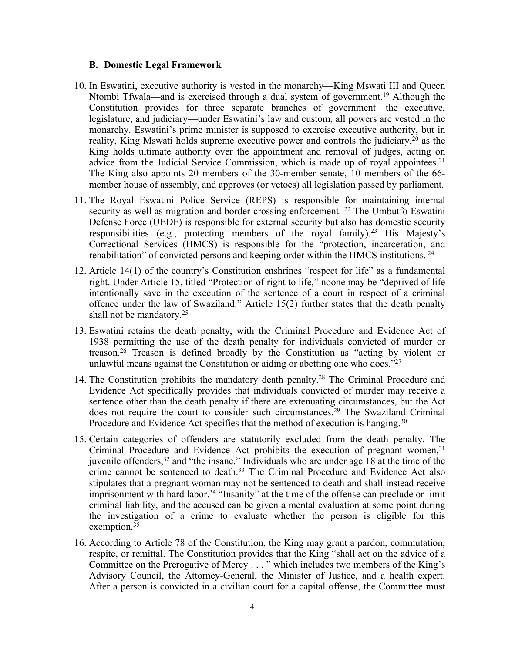#### **B. Domestic Legal Framework**

- 10. In Eswatini, executive authority is vested in the monarchy—King Mswati III and Queen Ntombi Tfwala—and is exercised through <sup>a</sup> dual system of government. <sup>19</sup> Although the Constitution provides for three separate branches of government—the executive, legislature, and judiciary—under Eswatini'<sup>s</sup> law and custom, all powers are vested in the monarchy. Eswatini'<sup>s</sup> prime minister is supposed to exercise executive authority, but in reality, King Mswati holds supreme executive power and controls the judiciary,<sup>20</sup> as the King holds ultimate authority over the appointment and removal of judges, acting on advice from the Judicial Service Commission, which is made up of royal appointees.<sup>21</sup> The King also appoints 20 members of the 30-member senate, 10 members of the 66 member house of assembly, and approves (or vetoes) all legislation passed by parliament.
- 11. The Royal Eswatini Police Service (REPS) is responsible for maintaining internal security as well as migration and border-crossing enforcement. <sup>22</sup> The Umbutfo Eswatini Defense Force (UEDF) is responsible for external security but also has domestic security responsibilities (e.g., protecting members of the royal family).<sup>23</sup> His Majesty's Correctional Services (HMCS) is responsible for the "protection, incarceration, and rehabilitation" of convicted persons and keeping order within the HMCS institutions.<sup>24</sup>
- 12. Article 14(1) of the country'<sup>s</sup> Constitution enshrines "respec<sup>t</sup> for life" as <sup>a</sup> fundamental right. Under Article 15, titled "Protection of right to life," noone may be "deprived of life intentionally save in the execution of the sentence of <sup>a</sup> court in respec<sup>t</sup> of <sup>a</sup> criminal offence under the law of Swaziland." Article 15(2) further states that the death penalty shall not be mandatory. 25
- 13. Eswatini retains the death penalty, with the Criminal Procedure and Evidence Act of 1938 permitting the use of the death penalty for individuals convicted of murder or treason. 26 Treason is defined broadly by the Constitution as "acting by violent or unlawful means against the Constitution or aiding or abetting one who does.<sup>"27</sup>
- 14. The Constitution prohibits the mandatory death penalty. 28 The Criminal Procedure and Evidence Act specifically provides that individuals convicted of murder may receive <sup>a</sup> sentence other than the death penalty if there are extenuating circumstances, but the Act does not require the court to consider such circumstances. 29 The Swaziland Criminal Procedure and Evidence Act specifies that the method of execution is hanging.<sup>30</sup>
- 15. Certain categories of offenders are statutorily excluded from the death penalty. The Criminal Procedure and Evidence Act prohibits the execution of pregnant women,<sup>31</sup> juvenile offenders, 32 and "the insane." Individuals who are under age 18 at the time of the crime cannot be sentenced to death. 33 The Criminal Procedure and Evidence Act also stipulates that <sup>a</sup> pregnan<sup>t</sup> woman may not be sentenced to death and shall instead receive imprisonment with hard labor. 34 "Insanity" at the time of the offense can preclude or limit criminal liability, and the accused can be given <sup>a</sup> mental evaluation at some point during the investigation of <sup>a</sup> crime to evaluate whether the person is eligible for this exemption.<sup>35</sup>
- 16. According to Article 78 of the Constitution, the King may gran<sup>t</sup> <sup>a</sup> pardon, commutation, respite, or remittal. The Constitution provides that the King "shall act on the advice of <sup>a</sup> Committee on the Prerogative of Mercy . . . " which includes two members of the King'<sup>s</sup> Advisory Council, the Attorney-General, the Minister of Justice, and <sup>a</sup> health expert. After <sup>a</sup> person is convicted in <sup>a</sup> civilian court for <sup>a</sup> capital offense, the Committee must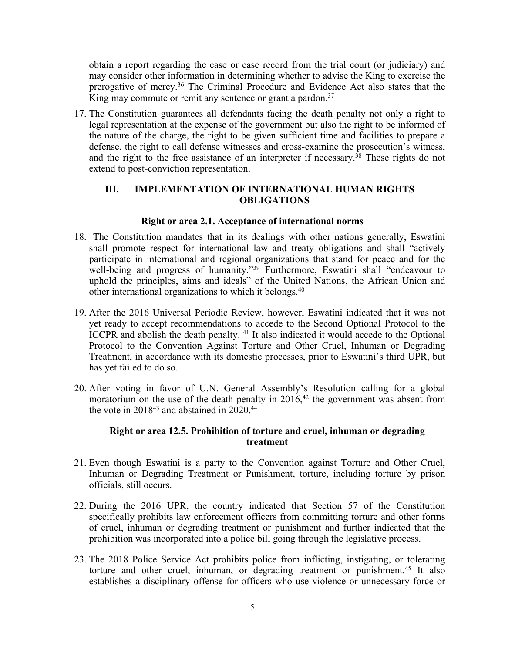obtain <sup>a</sup> repor<sup>t</sup> regarding the case or case record from the trial court (or judiciary) and may consider other information in determining whether to advise the King to exercise the prerogative of mercy. 36 The Criminal Procedure and Evidence Act also states that the King may commute or remit any sentence or grant a pardon.<sup>37</sup>

17. The Constitution guarantees all defendants facing the death penalty not only <sup>a</sup> right to legal representation at the expense of the governmen<sup>t</sup> but also the right to be informed of the nature of the charge, the right to be given sufficient time and facilities to prepare <sup>a</sup> defense, the right to call defense witnesses and cross-examine the prosecution'<sup>s</sup> witness, and the right to the free assistance of an interpreter if necessary. 38 These rights do not extend to post-conviction representation.

# **III. IMPLEMENTATION OF INTERNATIONAL HUMAN RIGHTS OBLIGATIONS**

### **Right or area 2.1. Acceptance of international norms**

- 18. The Constitution mandates that in its dealings with other nations generally, Eswatini shall promote respec<sup>t</sup> for international law and treaty obligations and shall "actively participate in international and regional organizations that stand for peace and for the well-being and progress of humanity."<sup>39</sup> Furthermore, Eswatini shall "endeavour to uphold the principles, aims and ideals" of the United Nations, the African Union and other international organizations to which it belongs. 40
- 19. After the 2016 Universal Periodic Review, however, Eswatini indicated that it was not ye<sup>t</sup> ready to accep<sup>t</sup> recommendations to accede to the Second Optional Protocol to the ICCPR and abolish the death penalty. 41 It also indicated it would accede to the Optional Protocol to the Convention Against Torture and Other Cruel, Inhuman or Degrading Treatment, in accordance with its domestic processes, prior to Eswatini'<sup>s</sup> third UPR, but has ye<sup>t</sup> failed to do so.
- 20. After voting in favor of U.N. General Assembly'<sup>s</sup> Resolution calling for <sup>a</sup> global moratorium on the use of the death penalty in 2016,<sup>42</sup> the government was absent from the vote in  $2018^{43}$  and abstained in  $2020.^{44}$

### **Right or area 12.5. Prohibition of torture and cruel, inhuman or degrading treatment**

- 21. Even though Eswatini is <sup>a</sup> party to the Convention against Torture and Other Cruel, Inhuman or Degrading Treatment or Punishment, torture, including torture by prison officials, still occurs.
- 22. During the 2016 UPR, the country indicated that Section 57 of the Constitution specifically prohibits law enforcement officers from committing torture and other forms of cruel, inhuman or degrading treatment or punishment and further indicated that the prohibition was incorporated into <sup>a</sup> police bill going through the legislative process.
- 23. The 2018 Police Service Act prohibits police from inflicting, instigating, or tolerating torture and other cruel, inhuman, or degrading treatment or punishment.<sup>45</sup> It also establishes <sup>a</sup> disciplinary offense for officers who use violence or unnecessary force or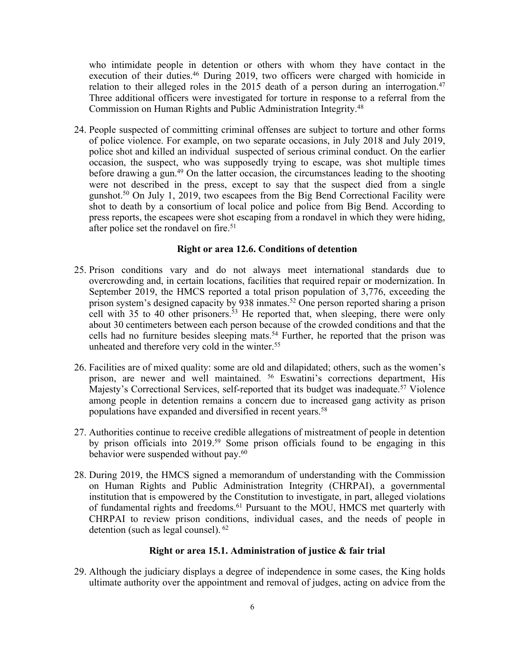who intimidate people in detention or others with whom they have contact in the execution of their duties. <sup>46</sup> During 2019, two officers were charged with homicide in relation to their alleged roles in the 2015 death of <sup>a</sup> person during an interrogation. 47 Three additional officers were investigated for torture in response to <sup>a</sup> referral from the Commission on Human Rights and Public Administration Integrity. 48

24. People suspected of committing criminal offenses are subject to torture and other forms of police violence. For example, on two separate occasions, in July 2018 and July 2019, police shot and killed an individual suspected of serious criminal conduct. On the earlier occasion, the suspect, who was supposedly trying to escape, was shot multiple times before drawing <sup>a</sup> gun. <sup>49</sup> On the latter occasion, the circumstances leading to the shooting were not described in the press, excep<sup>t</sup> to say that the suspec<sup>t</sup> died from <sup>a</sup> single gunshot.<sup>50</sup> On July 1, 2019, two escapees from the Big Bend Correctional Facility were shot to death by <sup>a</sup> consortium of local police and police from Big Bend. According to press reports, the escapees were shot escaping from <sup>a</sup> rondavel in which they were hiding, after police set the rondavel on fire. 51

### **Right or area 12.6. Conditions of detention**

- 25. Prison conditions vary and do not always meet international standards due to overcrowding and, in certain locations, facilities that required repair or modernization. In September 2019, the HMCS reported <sup>a</sup> total prison population of 3,776, exceeding the prison system'<sup>s</sup> designed capacity by 938 inmates. <sup>52</sup> One person reported sharing <sup>a</sup> prison cell with 35 to 40 other prisoners. <sup>53</sup> He reported that, when sleeping, there were only about 30 centimeters between each person because of the crowded conditions and that the cells had no furniture besides sleeping mats. 54 Further, he reported that the prison was unheated and therefore very cold in the winter.<sup>55</sup>
- 26. Facilities are of mixed quality: some are old and dilapidated; others, such as the women'<sup>s</sup> prison, are newer and well maintained. 56 Eswatini'<sup>s</sup> corrections department, His Majesty'<sup>s</sup> Correctional Services, self-reported that its budget was inadequate. <sup>57</sup> Violence among people in detention remains <sup>a</sup> concern due to increased gang activity as prison populations have expanded and diversified in recent years. 58
- 27. Authorities continue to receive credible allegations of mistreatment of people in detention by prison officials into 2019. 59 Some prison officials found to be engaging in this behavior were suspended without pay.<sup>60</sup>
- 28. During 2019, the HMCS signed <sup>a</sup> memorandum of understanding with the Commission on Human Rights and Public Administration Integrity (CHRPAI), <sup>a</sup> governmental institution that is empowered by the Constitution to investigate, in part, alleged violations of fundamental rights and freedoms. 61 Pursuant to the MOU, HMCS met quarterly with CHRPAI to review prison conditions, individual cases, and the needs of people in detention (such as legal counsel). 62

### **Right or area 15.1. Administration of justice & fair trial**

29. Although the judiciary displays <sup>a</sup> degree of independence in some cases, the King holds ultimate authority over the appointment and removal of judges, acting on advice from the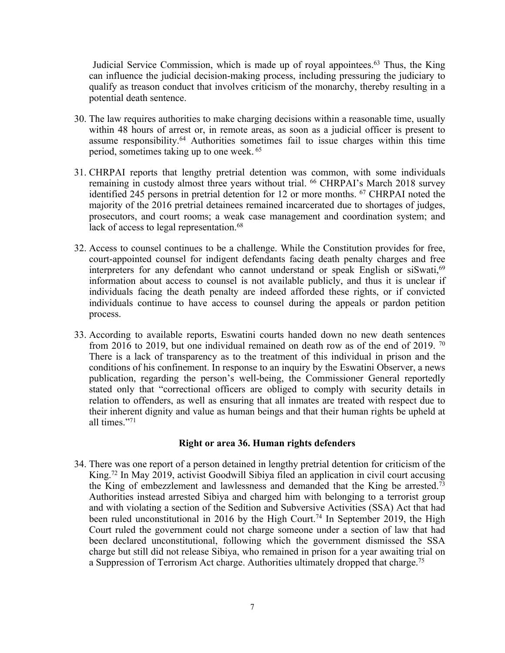Judicial Service Commission, which is made up of royal appointees.<sup>63</sup> Thus, the King can influence the judicial decision-making process, including pressuring the judiciary to qualify as treason conduct that involves criticism of the monarchy, thereby resulting in <sup>a</sup> potential death sentence.

- 30. The law requires authorities to make charging decisions within <sup>a</sup> reasonable time, usually within 48 hours of arrest or, in remote areas, as soon as <sup>a</sup> judicial officer is presen<sup>t</sup> to assume responsibility. <sup>64</sup> Authorities sometimes fail to issue charges within this time period, sometimes taking up to one week. 65
- 31. CHRPAI reports that lengthy pretrial detention was common, with some individuals remaining in custody almost three years without trial. <sup>66</sup> CHRPAI'<sup>s</sup> March 2018 survey identified 245 persons in pretrial detention for 12 or more months. <sup>67</sup> CHRPAI noted the majority of the 2016 pretrial detainees remained incarcerated due to shortages of judges, prosecutors, and court rooms; <sup>a</sup> weak case managemen<sup>t</sup> and coordination system; and lack of access to legal representation. 68
- 32. Access to counsel continues to be <sup>a</sup> challenge. While the Constitution provides for free, court-appointed counsel for indigent defendants facing death penalty charges and free interpreters for any defendant who cannot understand or speak English or siSwati,<sup>69</sup> information about access to counsel is not available publicly, and thus it is unclear if individuals facing the death penalty are indeed afforded these rights, or if convicted individuals continue to have access to counsel during the appeals or pardon petition process.
- 33. According to available reports, Eswatini courts handed down no new death sentences from 2016 to 2019, but one individual remained on death row as of the end of 2019.  $\frac{70}{2}$ There is <sup>a</sup> lack of transparency as to the treatment of this individual in prison and the conditions of his confinement. In response to an inquiry by the Eswatini Observer, <sup>a</sup> news publication, regarding the person'<sup>s</sup> well-being, the Commissioner General reportedly stated only that "correctional officers are obliged to comply with security details in relation to offenders, as well as ensuring that all inmates are treated with respec<sup>t</sup> due to their inherent dignity and value as human beings and that their human rights be upheld at all times."<sup>71</sup>

#### **Right or area 36. Human rights defenders**

34. There was one repor<sup>t</sup> of <sup>a</sup> person detained in lengthy pretrial detention for criticism of the King. 72 In May 2019, activist Goodwill Sibiya filed an application in civil court accusing the King of embezzlement and lawlessness and demanded that the King be arrested.<sup>73</sup> Authorities instead arrested Sibiya and charged him with belonging to <sup>a</sup> terrorist group and with violating <sup>a</sup> section of the Sedition and Subversive Activities (SSA) Act that had been ruled unconstitutional in 2016 by the High Court. 74 In September 2019, the High Court ruled the governmen<sup>t</sup> could not charge someone under <sup>a</sup> section of law that had been declared unconstitutional, following which the governmen<sup>t</sup> dismissed the SSA charge but still did not release Sibiya, who remained in prison for <sup>a</sup> year awaiting trial on <sup>a</sup> Suppression of Terrorism Act charge. Authorities ultimately dropped that charge. 75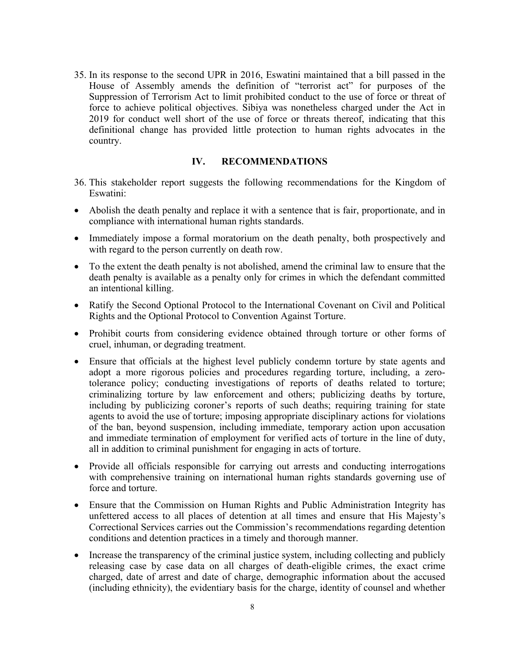35. In its response to the second UPR in 2016, Eswatini maintained that <sup>a</sup> bill passed in the House of Assembly amends the definition of "terrorist act" for purposes of the Suppression of Terrorism Act to limit prohibited conduct to the use of force or threat of force to achieve political objectives. Sibiya was nonetheless charged under the Act in 2019 for conduct well short of the use of force or threats thereof, indicating that this definitional change has provided little protection to human rights advocates in the country.

### **IV. RECOMMENDATIONS**

- 36. This stakeholder repor<sup>t</sup> suggests the following recommendations for the Kingdom of Eswatini:
- Abolish the death penalty and replace it with <sup>a</sup> sentence that is fair, proportionate, and in compliance with international human rights standards.
- Immediately impose a formal moratorium on the death penalty, both prospectively and with regard to the person currently on death row.
- To the extent the death penalty is not abolished, amend the criminal law to ensure that the death penalty is available as <sup>a</sup> penalty only for crimes in which the defendant committed an intentional killing.
- Ratify the Second Optional Protocol to the International Covenant on Civil and Political Rights and the Optional Protocol to Convention Against Torture.
- Prohibit courts from considering evidence obtained through torture or other forms of cruel, inhuman, or degrading treatment.
- Ensure that officials at the highest level publicly condemn torture by state agents and adopt <sup>a</sup> more rigorous policies and procedures regarding torture, including, <sup>a</sup> zerotolerance policy; conducting investigations of reports of deaths related to torture; criminalizing torture by law enforcement and others; publicizing deaths by torture, including by publicizing coroner'<sup>s</sup> reports of such deaths; requiring training for state agents to avoid the use of torture; imposing appropriate disciplinary actions for violations of the ban, beyond suspension, including immediate, temporary action upon accusation and immediate termination of employment for verified acts of torture in the line of duty, all in addition to criminal punishment for engaging in acts of torture.
- Provide all officials responsible for carrying out arrests and conducting interrogations with comprehensive training on international human rights standards governing use of force and torture.
- Ensure that the Commission on Human Rights and Public Administration Integrity has unfettered access to all places of detention at all times and ensure that His Majesty'<sup>s</sup> Correctional Services carries out the Commission'<sup>s</sup> recommendations regarding detention conditions and detention practices in <sup>a</sup> timely and thorough manner.
- Increase the transparency of the criminal justice system, including collecting and publicly releasing case by case data on all charges of death-eligible crimes, the exact crime charged, date of arrest and date of charge, demographic information about the accused (including ethnicity), the evidentiary basis for the charge, identity of counsel and whether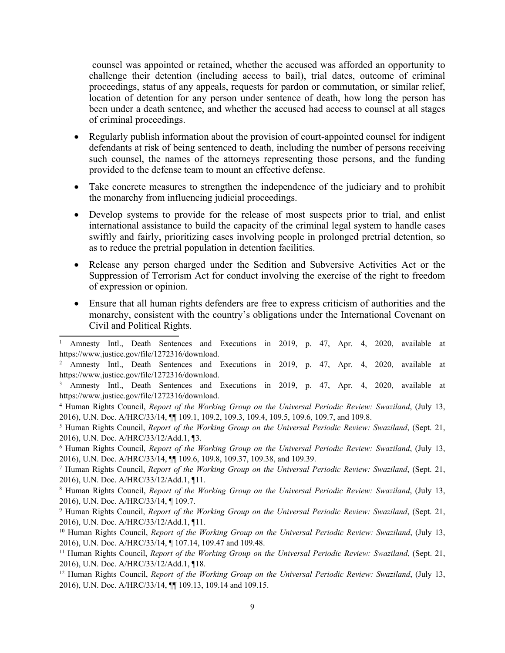counsel was appointed or retained, whether the accused was afforded an opportunity to challenge their detention (including access to bail), trial dates, outcome of criminal proceedings, status of any appeals, requests for pardon or commutation, or similar relief, location of detention for any person under sentence of death, how long the person has been under <sup>a</sup> death sentence, and whether the accused had access to counsel at all stages of criminal proceedings.

- Regularly publish information about the provision of court-appointed counsel for indigent defendants at risk of being sentenced to death, including the number of persons receiving such counsel, the names of the attorneys representing those persons, and the funding provided to the defense team to mount an effective defense.
- Take concrete measures to strengthen the independence of the judiciary and to prohibit the monarchy from influencing judicial proceedings.
- Develop systems to provide for the release of most suspects prior to trial, and enlist international assistance to build the capacity of the criminal legal system to handle cases swiftly and fairly, prioritizing cases involving people in prolonged pretrial detention, so as to reduce the pretrial population in detention facilities.
- Release any person charged under the Sedition and Subversive Activities Act or the Suppression of Terrorism Act for conduct involving the exercise of the right to freedom of expression or opinion.
- Ensure that all human rights defenders are free to express criticism of authorities and the monarchy, consistent with the country'<sup>s</sup> obligations under the International Covenant on Civil and Political Rights.

<sup>1</sup> Amnesty Intl., Death Sentences and Executions in 2019, p. 47, Apr. 4, 2020, available at https://www.justice.gov/file/1272316/download.

<sup>2</sup> Amnesty Intl., Death Sentences and Executions in 2019, p. 47, Apr. 4, 2020, available at https://www.justice.gov/file/1272316/download.

<sup>3</sup> Amnesty Intl., Death Sentences and Executions in 2019, p. 47, Apr. 4, 2020, available at https://www.justice.gov/file/1272316/download.

<sup>4</sup> Human Rights Council, *Report of the Working Group on the Universal Periodic Review: Swaziland*, (July 13, 2016), U.N. Doc. A/HRC/33/14, ¶¶ 109.1, 109.2, 109.3, 109.4, 109.5, 109.6, 109.7, and 109.8.

<sup>5</sup> Human Rights Council, *Report of the Working Group on the Universal Periodic Review: Swaziland*, (Sept. 21, 2016), U.N. Doc. A/HRC/33/12/Add.1, ¶3.

<sup>6</sup> Human Rights Council, *Report of the Working Group on the Universal Periodic Review: Swaziland*, (July 13, 2016), U.N. Doc. A/HRC/33/14, ¶¶ 109.6, 109.8, 109.37, 109.38, and 109.39.

<sup>7</sup> Human Rights Council, *Report of the Working Group on the Universal Periodic Review: Swaziland*, (Sept. 21, 2016), U.N. Doc. A/HRC/33/12/Add.1, ¶11.

<sup>8</sup> Human Rights Council, *Report of the Working Group on the Universal Periodic Review: Swaziland*, (July 13, 2016), U.N. Doc. A/HRC/33/14, ¶ 109.7.

<sup>9</sup> Human Rights Council, *Report of the Working Group on the Universal Periodic Review: Swaziland*, (Sept. 21, 2016), U.N. Doc. A/HRC/33/12/Add.1, ¶11.

<sup>10</sup> Human Rights Council, *Report of the Working Group on the Universal Periodic Review: Swaziland*, (July 13, 2016), U.N. Doc. A/HRC/33/14, ¶ 107.14, 109.47 and 109.48.

<sup>11</sup> Human Rights Council, *Report of the Working Group on the Universal Periodic Review: Swaziland*, (Sept. 21, 2016), U.N. Doc. A/HRC/33/12/Add.1, ¶18.

<sup>12</sup> Human Rights Council, *Report of the Working Group on the Universal Periodic Review: Swaziland*, (July 13, 2016), U.N. Doc. A/HRC/33/14, ¶¶ 109.13, 109.14 and 109.15.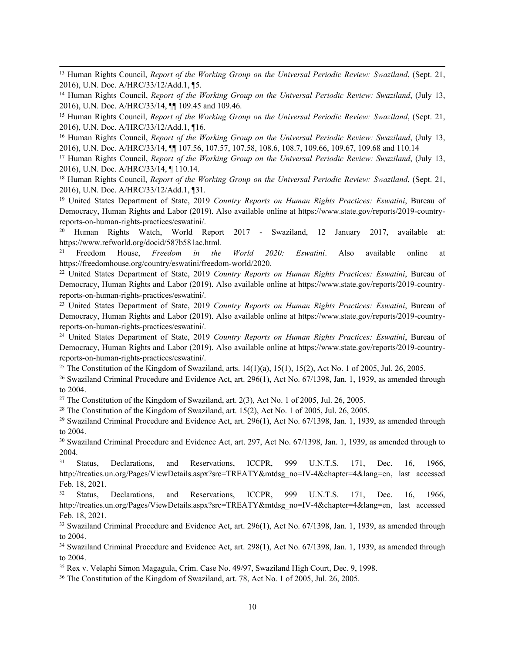<sup>13</sup> Human Rights Council, *Report of the Working Group on the Universal Periodic Review: Swaziland*, (Sept. 21, 2016), U.N. Doc. A/HRC/33/12/Add.1, ¶5.

<sup>14</sup> Human Rights Council, *Report of the Working Group on the Universal Periodic Review: Swaziland*, (July 13, 2016), U.N. Doc. A/HRC/33/14, ¶¶ 109.45 and 109.46.

<sup>15</sup> Human Rights Council, *Report of the Working Group on the Universal Periodic Review: Swaziland*, (Sept. 21, 2016), U.N. Doc. A/HRC/33/12/Add.1, ¶16.

<sup>16</sup> Human Rights Council, *Report of the Working Group on the Universal Periodic Review: Swaziland*, (July 13, 2016), U.N. Doc. A/HRC/33/14, ¶¶ 107.56, 107.57, 107.58, 108.6, 108.7, 109.66, 109.67, 109.68 and 110.14

<sup>17</sup> Human Rights Council, *Report of the Working Group on the Universal Periodic Review: Swaziland*, (July 13, 2016), U.N. Doc. A/HRC/33/14, ¶ 110.14.

<sup>18</sup> Human Rights Council, *Report of the Working Group on the Universal Periodic Review: Swaziland*, (Sept. 21, 2016), U.N. Doc. A/HRC/33/12/Add.1, ¶31.

<sup>19</sup> United States Department of State, 2019 *Country Reports on Human Rights Practices: Eswatini*, Bureau of Democracy, Human Rights and Labor (2019). Also available online at https://www.state.gov/reports/2019-countryreports-on-human-rights-practices/eswatini/.

<sup>20</sup> Human Rights Watch, World Report 2017 - Swaziland, <sup>12</sup> January 2017, available at: https://www.refworld.org/docid/587b581ac.html.

21 Freedom House, *Freedom in the World 2020: Eswatini*. Also available online at <https://freedomhouse.org/country/eswatini/freedom-world/2020>.

<sup>22</sup> United States Department of State, 2019 *Country Reports on Human Rights Practices: Eswatini*, Bureau of Democracy, Human Rights and Labor (2019). Also available online at https://www.state.gov/reports/2019-countryreports-on-human-rights-practices/eswatini/.

<sup>23</sup> United States Department of State, 2019 *Country Reports on Human Rights Practices: Eswatini*, Bureau of Democracy, Human Rights and Labor (2019). Also available online at https://www.state.gov/reports/2019-countryreports-on-human-rights-practices/eswatini/.

<sup>24</sup> United States Department of State, 2019 *Country Reports on Human Rights Practices: Eswatini*, Bureau of Democracy, Human Rights and Labor (2019). Also available online at https://www.state.gov/reports/2019-countryreports-on-human-rights-practices/eswatini/.

<sup>25</sup> The Constitution of the Kingdom of Swaziland, arts.  $14(1)(a)$ ,  $15(1)$ ,  $15(2)$ , Act No. 1 of 2005, Jul. 26, 2005.

<sup>26</sup> Swaziland Criminal Procedure and Evidence Act, art. 296(1), Act No. 67/1398, Jan. 1, 1939, as amended through to 2004.

<sup>27</sup> The Constitution of the Kingdom of Swaziland, art. 2(3), Act No. 1 of 2005, Jul. 26, 2005.

<sup>28</sup> The Constitution of the Kingdom of Swaziland, art. 15(2), Act No. 1 of 2005, Jul. 26, 2005.

<sup>29</sup> Swaziland Criminal Procedure and Evidence Act, art. 296(1), Act No. 67/1398, Jan. 1, 1939, as amended through to 2004.

<sup>30</sup> Swaziland Criminal Procedure and Evidence Act, art. 297, Act No. 67/1398, Jan. 1, 1939, as amended through to 2004.

31 Status, Declarations, and Reservations, ICCPR, 999 U.N.T.S. 171, Dec. 16, 1966, [http://treaties.un.org/Pages/ViewDetails.aspx?src=TREATY&mtdsg\\_no=IV-4&chapter=4&lang=en](http://treaties.un.org/Pages/ViewDetails.aspx?src=TREATY&mtdsg_no=IV-4&chapter=4&lang=en), last accessed Feb. 18, 2021.

32 Status, Declarations, and Reservations, ICCPR, 999 U.N.T.S. 171, Dec. 16, 1966, [http://treaties.un.org/Pages/ViewDetails.aspx?src=TREATY&mtdsg\\_no=IV-4&chapter=4&lang=en](http://treaties.un.org/Pages/ViewDetails.aspx?src=TREATY&mtdsg_no=IV-4&chapter=4&lang=en), last accessed Feb. 18, 2021.

<sup>33</sup> Swaziland Criminal Procedure and Evidence Act, art. 296(1), Act No. 67/1398, Jan. 1, 1939, as amended through to 2004.

34 Swaziland Criminal Procedure and Evidence Act, art. 298(1), Act No. 67/1398, Jan. 1, 1939, as amended through to 2004.

<sup>35</sup> Rex v. Velaphi Simon Magagula, Crim. Case No. 49/97, Swaziland High Court, Dec. 9, 1998.

36 The Constitution of the Kingdom of Swaziland, art. 78, Act No. 1 of 2005, Jul. 26, 2005.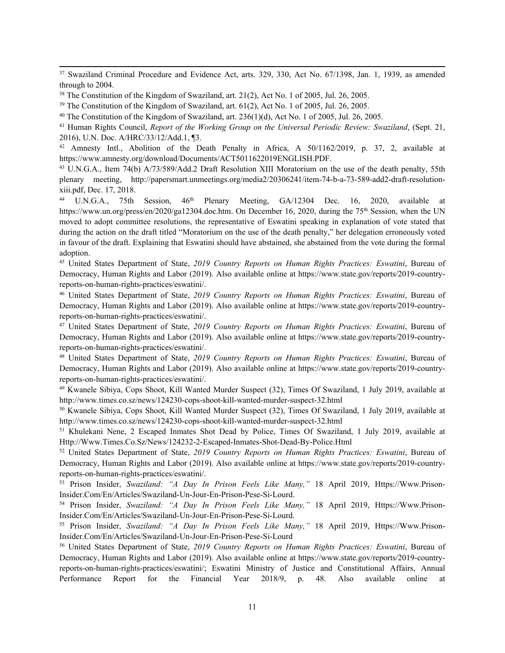37 Swaziland Criminal Procedure and Evidence Act, arts. 329, 330, Act No. 67/1398, Jan. 1, 1939, as amended through to 2004.

<sup>39</sup> The Constitution of the Kingdom of Swaziland, art.  $61(2)$ , Act No. 1 of 2005, Jul. 26, 2005.

<sup>40</sup> The Constitution of the Kingdom of Swaziland, art.  $236(1)(d)$ , Act No. 1 of 2005, Jul. 26, 2005.

<sup>41</sup> Human Rights Council, *Report of the Working Group on the Universal Periodic Review: Swaziland*, (Sept. 21, 2016), U.N. Doc. A/HRC/33/12/Add.1, ¶3.

 $42$  Amnesty Intl., Abolition of the Death Penalty in Africa, A  $50/1162/2019$ , p. 37, 2, available at https://www.amnesty.org/download/Documents/ACT5011622019ENGLISH.PDF.

<sup>43</sup> U.N.G.A., Item 74(b) A/73/589/Add.2 Draft Resolution XIII Moratorium on the use of the death penalty, 55th plenary meeting, http://papersmart.unmeetings.org/media2/20306241/item-74-b-a-73-589-add2-draft-resolutionxiii.pdf, Dec. 17, 2018.

<sup>44</sup> U.N.G.A., 75th Session, 46<sup>th</sup> Plenary Meeting, GA/12304 Dec. 16, 2020, available at <https://www.un.org/press/en/2020/ga12304.doc.htm>. On December 16, 2020, during the 75<sup>th</sup> Session, when the UN moved to adopt committee resolutions, the representative of Eswatini speaking in explanation of vote stated that during the action on the draft titled "Moratorium on the use of the death penalty," her delegation erroneously voted in favour of the draft. Explaining that Eswatini should have abstained, she abstained from the vote during the formal adoption.

<sup>45</sup> United States Department of State, *2019 Country Reports on Human Rights Practices: Eswatini*, Bureau of Democracy, Human Rights and Labor (2019). Also available online at https://www.state.gov/reports/2019-countryreports-on-human-rights-practices/eswatini/.

<sup>46</sup> United States Department of State, *2019 Country Reports on Human Rights Practices: Eswatini*, Bureau of Democracy, Human Rights and Labor (2019). Also available online at https://www.state.gov/reports/2019-countryreports-on-human-rights-practices/eswatini/.

<sup>47</sup> United States Department of State, *2019 Country Reports on Human Rights Practices: Eswatini*, Bureau of Democracy, Human Rights and Labor (2019). Also available online at https://www.state.gov/reports/2019-countryreports-on-human-rights-practices/eswatini/.

<sup>48</sup> United States Department of State, *2019 Country Reports on Human Rights Practices: Eswatini*, Bureau of Democracy, Human Rights and Labor (2019). Also available online at https://www.state.gov/reports/2019-countryreports-on-human-rights-practices/eswatini/.

<sup>49</sup> Kwanele Sibiya, Cops Shoot, Kill Wanted Murder Suspect (32), Times Of Swaziland, <sup>1</sup> July 2019, available at http://www.times.co.sz/news/124230-cops-shoot-kill-wanted-murder-suspect-32.html

<sup>50</sup> Kwanele Sibiya, Cops Shoot, Kill Wanted Murder Suspect (32), Times Of Swaziland, <sup>1</sup> July 2019, available at http://www.times.co.sz/news/124230-cops-shoot-kill-wanted-murder-suspect-32.html

<sup>51</sup> Khulekani Nene, <sup>2</sup> Escaped Inmates Shot Dead by Police, Times Of Swaziland, <sup>1</sup> July 2019, available at Http://Www.Times.Co.Sz/News/124232-2-Escaped-Inmates-Shot-Dead-By-Police.Html

<sup>52</sup> United States Department of State, *2019 Country Reports on Human Rights Practices: Eswatini*, Bureau of Democracy, Human Rights and Labor (2019). Also available online at https://www.state.gov/reports/2019-countryreports-on-human-rights-practices/eswatini/.

53 Prison Insider, *Swaziland: "A Day In Prison Feels Like Many,"* 18 April 2019, [Https://Www.Prison-](https://www.prison-insider.com/en/articles/swaziland-un-jour-en-prison-pese-si-lourd)[Insider.Com/En/Articles/Swaziland-Un-Jour-En-Prison-Pese-Si-Lourd](https://www.prison-insider.com/en/articles/swaziland-un-jour-en-prison-pese-si-lourd).

54 Prison Insider, *Swaziland: "A Day In Prison Feels Like Many,"* 18 April 2019, [Https://Www.Prison-](https://www.prison-insider.com/en/articles/swaziland-un-jour-en-prison-pese-si-lourd)[Insider.Com/En/Articles/Swaziland-Un-Jour-En-Prison-Pese-Si-Lourd](https://www.prison-insider.com/en/articles/swaziland-un-jour-en-prison-pese-si-lourd).

55 Prison Insider, *Swaziland: "A Day In Prison Feels Like Many,"* 18 April 2019, [Https://Www.Prison-](https://www.prison-insider.com/en/articles/swaziland-un-jour-en-prison-pese-si-lourd)[Insider.Com/En/Articles/Swaziland-Un-Jour-En-Prison-Pese-Si-Lourd](https://www.prison-insider.com/en/articles/swaziland-un-jour-en-prison-pese-si-lourd)

<sup>56</sup> United States Department of State, *2019 Country Reports on Human Rights Practices: Eswatini*, Bureau of Democracy, Human Rights and Labor (2019). Also available online at [https://www.state.gov/reports/2019-country](https://www.state.gov/reports/2019-country-reports-on-human-rights-practices/eswatini/)repor[ts-on-human-rights-practices/eswatini/](https://www.state.gov/reports/2019-country-reports-on-human-rights-practices/eswatini/); Eswatini Ministry of Justice and Constitutional Affairs, Annual Performance Report for the Financial Year 2018/9, p. 48. Also available online at

<sup>38</sup> The Constitution of the Kingdom of Swaziland, art. 21(2), Act No. 1 of 2005, Jul. 26, 2005.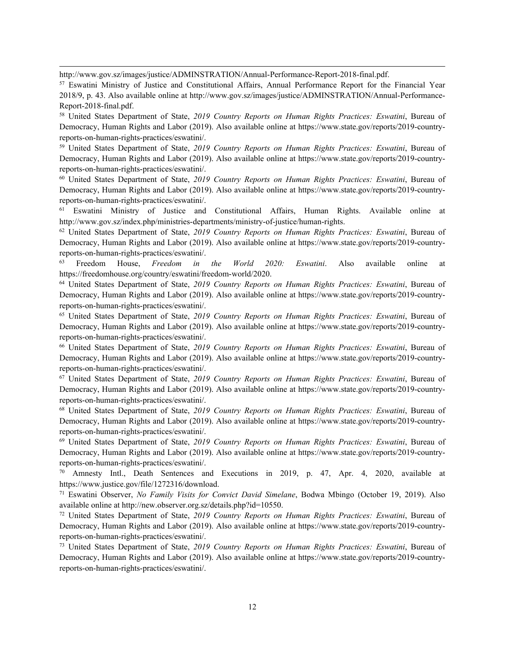http://www.gov.sz/images/justice/ADMINSTRATION/Annual-Performance-Report-2018-final.pdf.

57 Eswatini Ministry of Justice and Constitutional Affairs, Annual Performance Report for the Financial Year 2018/9, p. 43. Also available online at http://www.gov.sz/images/justice/ADMINSTRATION/Annual-Performance-Report-2018-final.pdf.

<sup>58</sup> United States Department of State, *2019 Country Reports on Human Rights Practices: Eswatini*, Bureau of Democracy, Human Rights and Labor (2019). Also available online at https://www.state.gov/reports/2019-countryreports-on-human-rights-practices/eswatini/.

<sup>59</sup> United States Department of State, *2019 Country Reports on Human Rights Practices: Eswatini*, Bureau of Democracy, Human Rights and Labor (2019). Also available online at https://www.state.gov/reports/2019-countryreports-on-human-rights-practices/eswatini/.

<sup>60</sup> United States Department of State, *2019 Country Reports on Human Rights Practices: Eswatini*, Bureau of Democracy, Human Rights and Labor (2019). Also available online at https://www.state.gov/reports/2019-countryreports-on-human-rights-practices/eswatini/.

<sup>61</sup> Eswatini Ministry of Justice and Constitutional Affairs, Human Rights. Available online at http://www.gov.sz/index.php/ministries-departments/ministry-of-justice/human-rights.

<sup>62</sup> United States Department of State, *2019 Country Reports on Human Rights Practices: Eswatini*, Bureau of Democracy, Human Rights and Labor (2019). Also available online at https://www.state.gov/reports/2019-countryreports-on-human-rights-practices/eswatini/.

63 Freedom House, *Freedom in the World 2020: Eswatini*. Also available online at <https://freedomhouse.org/country/eswatini/freedom-world/2020>.

<sup>64</sup> United States Department of State, *2019 Country Reports on Human Rights Practices: Eswatini*, Bureau of Democracy, Human Rights and Labor (2019). Also available online at https://www.state.gov/reports/2019-countryreports-on-human-rights-practices/eswatini/.

<sup>65</sup> United States Department of State, *2019 Country Reports on Human Rights Practices: Eswatini*, Bureau of Democracy, Human Rights and Labor (2019). Also available online at https://www.state.gov/reports/2019-countryreports-on-human-rights-practices/eswatini/.

<sup>66</sup> United States Department of State, *2019 Country Reports on Human Rights Practices: Eswatini*, Bureau of Democracy, Human Rights and Labor (2019). Also available online at https://www.state.gov/reports/2019-countryreports-on-human-rights-practices/eswatini/.

<sup>67</sup> United States Department of State, *2019 Country Reports on Human Rights Practices: Eswatini*, Bureau of Democracy, Human Rights and Labor (2019). Also available online at https://www.state.gov/reports/2019-countryreports-on-human-rights-practices/eswatini/.

<sup>68</sup> United States Department of State, *2019 Country Reports on Human Rights Practices: Eswatini*, Bureau of Democracy, Human Rights and Labor (2019). Also available online at https://www.state.gov/reports/2019-countryreports-on-human-rights-practices/eswatini/.

<sup>69</sup> United States Department of State, *2019 Country Reports on Human Rights Practices: Eswatini*, Bureau of Democracy, Human Rights and Labor (2019). Also available online at https://www.state.gov/reports/2019-countryreports-on-human-rights-practices/eswatini/.

<sup>70</sup> Amnesty Intl., Death Sentences and Executions in 2019, p. 47, Apr. 4, 2020, available at https://www.justice.gov/file/1272316/download.

71 Eswatini Observer, *No Family Visits for Convict David Simelane*, Bodwa Mbingo (October 19, 2019). Also available online at http://new.observer.org.sz/details.php?id=10550.

<sup>72</sup> United States Department of State, *2019 Country Reports on Human Rights Practices: Eswatini*, Bureau of Democracy, Human Rights and Labor (2019). Also available online at https://www.state.gov/reports/2019-countryreports-on-human-rights-practices/eswatini/.

<sup>73</sup> United States Department of State, *2019 Country Reports on Human Rights Practices: Eswatini*, Bureau of Democracy, Human Rights and Labor (2019). Also available online at https://www.state.gov/reports/2019-countryreports-on-human-rights-practices/eswatini/.